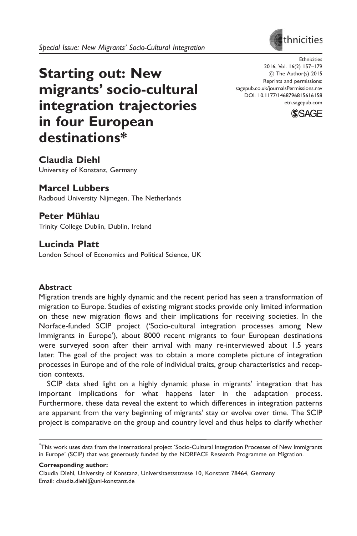Starting out: New migrants' socio-cultural integration trajectories in four European destinations\*

Claudia Diehl University of Konstanz, Germany

# Marcel Lubbers

Radboud University Nijmegen, The Netherlands

Peter Mühlau Trinity College Dublin, Dublin, Ireland

Lucinda Platt London School of Economics and Political Science, UK

# **Abstract**

Migration trends are highly dynamic and the recent period has seen a transformation of migration to Europe. Studies of existing migrant stocks provide only limited information on these new migration flows and their implications for receiving societies. In the Norface-funded SCIP project ('Socio-cultural integration processes among New Immigrants in Europe'), about 8000 recent migrants to four European destinations were surveyed soon after their arrival with many re-interviewed about 1.5 years later. The goal of the project was to obtain a more complete picture of integration processes in Europe and of the role of individual traits, group characteristics and reception contexts.

SCIP data shed light on a highly dynamic phase in migrants' integration that has important implications for what happens later in the adaptation process. Furthermore, these data reveal the extent to which differences in integration patterns are apparent from the very beginning of migrants' stay or evolve over time. The SCIP project is comparative on the group and country level and thus helps to clarify whether

Corresponding author:

Claudia Diehl, University of Konstanz, Universitaetsstrasse 10, Konstanz 78464, Germany Email: claudia.diehl@uni-konstanz.de



hnicities

Ethnicities

DOI: 10.1177/1468796815616158 etn.sagepub.com



 $\displaystyle{phantom ^{*}}$ This work uses data from the international project 'Socio-Cultural Integration Processes of New Immigrants in Europe' (SCIP) that was generously funded by the NORFACE Research Programme on Migration.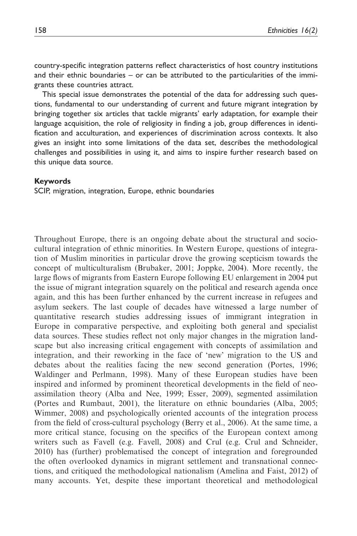country-specific integration patterns reflect characteristics of host country institutions and their ethnic boundaries – or can be attributed to the particularities of the immigrants these countries attract.

This special issue demonstrates the potential of the data for addressing such questions, fundamental to our understanding of current and future migrant integration by bringing together six articles that tackle migrants' early adaptation, for example their language acquisition, the role of religiosity in finding a job, group differences in identification and acculturation, and experiences of discrimination across contexts. It also gives an insight into some limitations of the data set, describes the methodological challenges and possibilities in using it, and aims to inspire further research based on this unique data source.

#### Keywords

SCIP, migration, integration, Europe, ethnic boundaries

Throughout Europe, there is an ongoing debate about the structural and sociocultural integration of ethnic minorities. In Western Europe, questions of integration of Muslim minorities in particular drove the growing scepticism towards the concept of multiculturalism (Brubaker, 2001; Joppke, 2004). More recently, the large flows of migrants from Eastern Europe following EU enlargement in 2004 put the issue of migrant integration squarely on the political and research agenda once again, and this has been further enhanced by the current increase in refugees and asylum seekers. The last couple of decades have witnessed a large number of quantitative research studies addressing issues of immigrant integration in Europe in comparative perspective, and exploiting both general and specialist data sources. These studies reflect not only major changes in the migration landscape but also increasing critical engagement with concepts of assimilation and integration, and their reworking in the face of 'new' migration to the US and debates about the realities facing the new second generation (Portes, 1996; Waldinger and Perlmann, 1998). Many of these European studies have been inspired and informed by prominent theoretical developments in the field of neoassimilation theory (Alba and Nee, 1999; Esser, 2009), segmented assimilation (Portes and Rumbaut, 2001), the literature on ethnic boundaries (Alba, 2005; Wimmer, 2008) and psychologically oriented accounts of the integration process from the field of cross-cultural psychology (Berry et al., 2006). At the same time, a more critical stance, focusing on the specifics of the European context among writers such as Favell (e.g. Favell, 2008) and Crul (e.g. Crul and Schneider, 2010) has (further) problematised the concept of integration and foregrounded the often overlooked dynamics in migrant settlement and transnational connections, and critiqued the methodological nationalism (Amelina and Faist, 2012) of many accounts. Yet, despite these important theoretical and methodological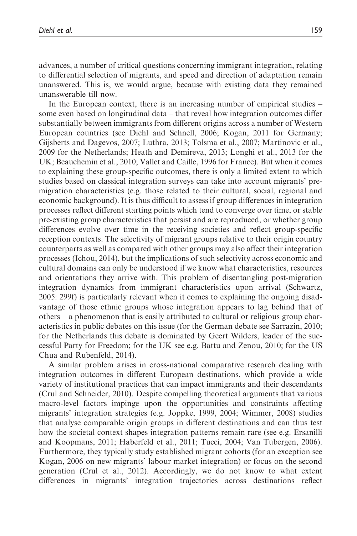advances, a number of critical questions concerning immigrant integration, relating to differential selection of migrants, and speed and direction of adaptation remain unanswered. This is, we would argue, because with existing data they remained unanswerable till now.

In the European context, there is an increasing number of empirical studies – some even based on longitudinal data – that reveal how integration outcomes differ substantially between immigrants from different origins across a number of Western European countries (see Diehl and Schnell, 2006; Kogan, 2011 for Germany; Gijsberts and Dagevos, 2007; Luthra, 2013; Tolsma et al., 2007; Martinovic et al., 2009 for the Netherlands; Heath and Demireva, 2013; Longhi et al., 2013 for the UK; Beauchemin et al., 2010; Vallet and Caille, 1996 for France). But when it comes to explaining these group-specific outcomes, there is only a limited extent to which studies based on classical integration surveys can take into account migrants' premigration characteristics (e.g. those related to their cultural, social, regional and economic background). It is thus difficult to assess if group differences in integration processes reflect different starting points which tend to converge over time, or stable pre-existing group characteristics that persist and are reproduced, or whether group differences evolve over time in the receiving societies and reflect group-specific reception contexts. The selectivity of migrant groups relative to their origin country counterparts as well as compared with other groups may also affect their integration processes (Ichou, 2014), but the implications of such selectivity across economic and cultural domains can only be understood if we know what characteristics, resources and orientations they arrive with. This problem of disentangling post-migration integration dynamics from immigrant characteristics upon arrival (Schwartz, 2005: 299f) is particularly relevant when it comes to explaining the ongoing disadvantage of those ethnic groups whose integration appears to lag behind that of others – a phenomenon that is easily attributed to cultural or religious group characteristics in public debates on this issue (for the German debate see Sarrazin, 2010; for the Netherlands this debate is dominated by Geert Wilders, leader of the successful Party for Freedom; for the UK see e.g. Battu and Zenou, 2010; for the US Chua and Rubenfeld, 2014).

A similar problem arises in cross-national comparative research dealing with integration outcomes in different European destinations, which provide a wide variety of institutional practices that can impact immigrants and their descendants (Crul and Schneider, 2010). Despite compelling theoretical arguments that various macro-level factors impinge upon the opportunities and constraints affecting migrants' integration strategies (e.g. Joppke, 1999, 2004; Wimmer, 2008) studies that analyse comparable origin groups in different destinations and can thus test how the societal context shapes integration patterns remain rare (see e.g. Ersanilli and Koopmans, 2011; Haberfeld et al., 2011; Tucci, 2004; Van Tubergen, 2006). Furthermore, they typically study established migrant cohorts (for an exception see Kogan, 2006 on new migrants' labour market integration) or focus on the second generation (Crul et al., 2012). Accordingly, we do not know to what extent differences in migrants' integration trajectories across destinations reflect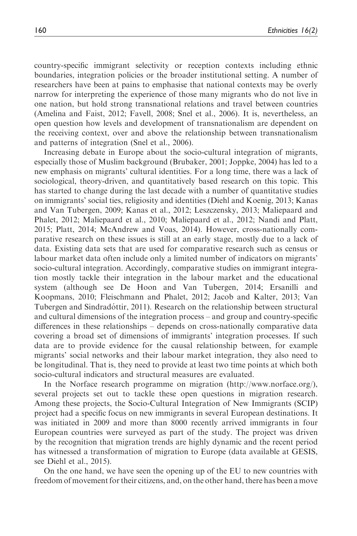country-specific immigrant selectivity or reception contexts including ethnic boundaries, integration policies or the broader institutional setting. A number of researchers have been at pains to emphasise that national contexts may be overly narrow for interpreting the experience of those many migrants who do not live in one nation, but hold strong transnational relations and travel between countries (Amelina and Faist, 2012; Favell, 2008; Snel et al., 2006). It is, nevertheless, an open question how levels and development of transnationalism are dependent on the receiving context, over and above the relationship between transnationalism and patterns of integration (Snel et al., 2006).

Increasing debate in Europe about the socio-cultural integration of migrants, especially those of Muslim background (Brubaker, 2001; Joppke, 2004) has led to a new emphasis on migrants' cultural identities. For a long time, there was a lack of sociological, theory-driven, and quantitatively based research on this topic. This has started to change during the last decade with a number of quantitative studies on immigrants' social ties, religiosity and identities (Diehl and Koenig, 2013; Kanas and Van Tubergen, 2009; Kanas et al., 2012; Leszczensky, 2013; Maliepaard and Phalet, 2012; Maliepaard et al., 2010; Maliepaard et al., 2012; Nandi and Platt, 2015; Platt, 2014; McAndrew and Voas, 2014). However, cross-nationally comparative research on these issues is still at an early stage, mostly due to a lack of data. Existing data sets that are used for comparative research such as census or labour market data often include only a limited number of indicators on migrants' socio-cultural integration. Accordingly, comparative studies on immigrant integration mostly tackle their integration in the labour market and the educational system (although see De Hoon and Van Tubergen, 2014; Ersanilli and Koopmans, 2010; Fleischmann and Phalet, 2012; Jacob and Kalter, 2013; Van Tubergen and Sindradóttir, 2011). Research on the relationship between structural and cultural dimensions of the integration process – and group and country-specific differences in these relationships – depends on cross-nationally comparative data covering a broad set of dimensions of immigrants' integration processes. If such data are to provide evidence for the causal relationship between, for example migrants' social networks and their labour market integration, they also need to be longitudinal. That is, they need to provide at least two time points at which both socio-cultural indicators and structural measures are evaluated.

In the Norface research programme on migration (http://www.norface.org/), several projects set out to tackle these open questions in migration research. Among these projects, the Socio-Cultural Integration of New Immigrants (SCIP) project had a specific focus on new immigrants in several European destinations. It was initiated in 2009 and more than 8000 recently arrived immigrants in four European countries were surveyed as part of the study. The project was driven by the recognition that migration trends are highly dynamic and the recent period has witnessed a transformation of migration to Europe (data available at GESIS, see Diehl et al., 2015).

On the one hand, we have seen the opening up of the EU to new countries with freedom of movement for their citizens, and, on the other hand, there has been a move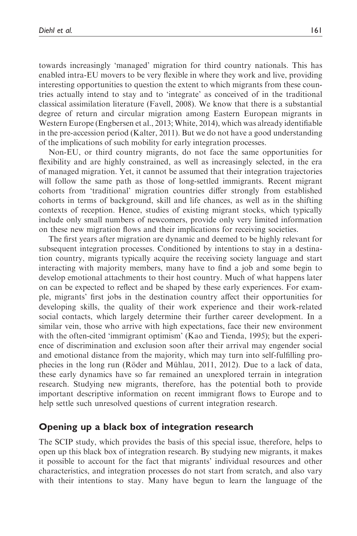towards increasingly 'managed' migration for third country nationals. This has enabled intra-EU movers to be very flexible in where they work and live, providing interesting opportunities to question the extent to which migrants from these countries actually intend to stay and to 'integrate' as conceived of in the traditional classical assimilation literature (Favell, 2008). We know that there is a substantial degree of return and circular migration among Eastern European migrants in Western Europe (Engbersen et al., 2013; White, 2014), which was already identifiable in the pre-accession period (Kalter, 2011). But we do not have a good understanding of the implications of such mobility for early integration processes.

Non-EU, or third country migrants, do not face the same opportunities for flexibility and are highly constrained, as well as increasingly selected, in the era of managed migration. Yet, it cannot be assumed that their integration trajectories will follow the same path as those of long-settled immigrants. Recent migrant cohorts from 'traditional' migration countries differ strongly from established cohorts in terms of background, skill and life chances, as well as in the shifting contexts of reception. Hence, studies of existing migrant stocks, which typically include only small numbers of newcomers, provide only very limited information on these new migration flows and their implications for receiving societies.

The first years after migration are dynamic and deemed to be highly relevant for subsequent integration processes. Conditioned by intentions to stay in a destination country, migrants typically acquire the receiving society language and start interacting with majority members, many have to find a job and some begin to develop emotional attachments to their host country. Much of what happens later on can be expected to reflect and be shaped by these early experiences. For example, migrants' first jobs in the destination country affect their opportunities for developing skills, the quality of their work experience and their work-related social contacts, which largely determine their further career development. In a similar vein, those who arrive with high expectations, face their new environment with the often-cited 'immigrant optimism' (Kao and Tienda, 1995); but the experience of discrimination and exclusion soon after their arrival may engender social and emotional distance from the majority, which may turn into self-fulfilling prophecies in the long run (Röder and Mühlau, 2011, 2012). Due to a lack of data, these early dynamics have so far remained an unexplored terrain in integration research. Studying new migrants, therefore, has the potential both to provide important descriptive information on recent immigrant flows to Europe and to help settle such unresolved questions of current integration research.

### Opening up a black box of integration research

The SCIP study, which provides the basis of this special issue, therefore, helps to open up this black box of integration research. By studying new migrants, it makes it possible to account for the fact that migrants' individual resources and other characteristics, and integration processes do not start from scratch, and also vary with their intentions to stay. Many have begun to learn the language of the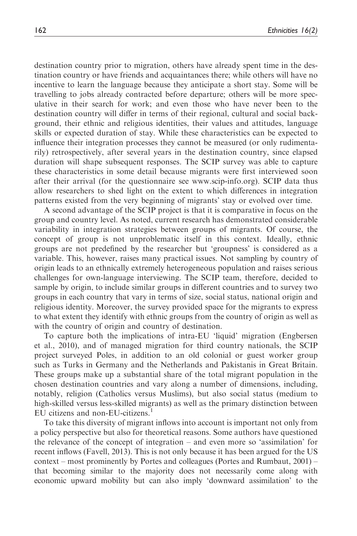destination country prior to migration, others have already spent time in the destination country or have friends and acquaintances there; while others will have no incentive to learn the language because they anticipate a short stay. Some will be travelling to jobs already contracted before departure; others will be more speculative in their search for work; and even those who have never been to the destination country will differ in terms of their regional, cultural and social background, their ethnic and religious identities, their values and attitudes, language skills or expected duration of stay. While these characteristics can be expected to influence their integration processes they cannot be measured (or only rudimentarily) retrospectively, after several years in the destination country, since elapsed duration will shape subsequent responses. The SCIP survey was able to capture these characteristics in some detail because migrants were first interviewed soon after their arrival (for the questionnaire see www.scip-info.org). SCIP data thus allow researchers to shed light on the extent to which differences in integration patterns existed from the very beginning of migrants' stay or evolved over time.

A second advantage of the SCIP project is that it is comparative in focus on the group and country level. As noted, current research has demonstrated considerable variability in integration strategies between groups of migrants. Of course, the concept of group is not unproblematic itself in this context. Ideally, ethnic groups are not predefined by the researcher but 'groupness' is considered as a variable. This, however, raises many practical issues. Not sampling by country of origin leads to an ethnically extremely heterogeneous population and raises serious challenges for own-language interviewing. The SCIP team, therefore, decided to sample by origin, to include similar groups in different countries and to survey two groups in each country that vary in terms of size, social status, national origin and religious identity. Moreover, the survey provided space for the migrants to express to what extent they identify with ethnic groups from the country of origin as well as with the country of origin and country of destination.

To capture both the implications of intra-EU 'liquid' migration (Engbersen et al., 2010), and of managed migration for third country nationals, the SCIP project surveyed Poles, in addition to an old colonial or guest worker group such as Turks in Germany and the Netherlands and Pakistanis in Great Britain. These groups make up a substantial share of the total migrant population in the chosen destination countries and vary along a number of dimensions, including, notably, religion (Catholics versus Muslims), but also social status (medium to high-skilled versus less-skilled migrants) as well as the primary distinction between EU citizens and non-EU-citizens.<sup>1</sup>

To take this diversity of migrant inflows into account is important not only from a policy perspective but also for theoretical reasons. Some authors have questioned the relevance of the concept of integration – and even more so 'assimilation' for recent inflows (Favell, 2013). This is not only because it has been argued for the US context – most prominently by Portes and colleagues (Portes and Rumbaut, 2001) – that becoming similar to the majority does not necessarily come along with economic upward mobility but can also imply 'downward assimilation' to the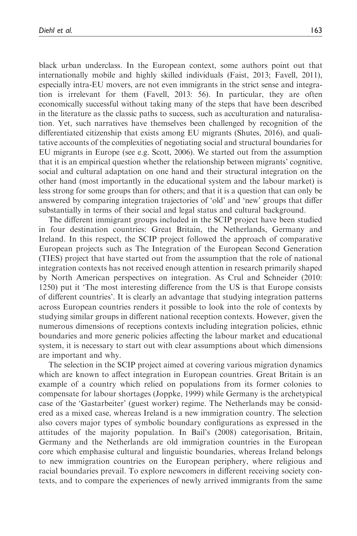black urban underclass. In the European context, some authors point out that internationally mobile and highly skilled individuals (Faist, 2013; Favell, 2011), especially intra-EU movers, are not even immigrants in the strict sense and integration is irrelevant for them (Favell, 2013: 56). In particular, they are often economically successful without taking many of the steps that have been described in the literature as the classic paths to success, such as acculturation and naturalisation. Yet, such narratives have themselves been challenged by recognition of the differentiated citizenship that exists among EU migrants (Shutes, 2016), and qualitative accounts of the complexities of negotiating social and structural boundaries for EU migrants in Europe (see e.g. Scott, 2006). We started out from the assumption that it is an empirical question whether the relationship between migrants' cognitive, social and cultural adaptation on one hand and their structural integration on the other hand (most importantly in the educational system and the labour market) is less strong for some groups than for others; and that it is a question that can only be answered by comparing integration trajectories of 'old' and 'new' groups that differ substantially in terms of their social and legal status and cultural background.

The different immigrant groups included in the SCIP project have been studied in four destination countries: Great Britain, the Netherlands, Germany and Ireland. In this respect, the SCIP project followed the approach of comparative European projects such as The Integration of the European Second Generation (TIES) project that have started out from the assumption that the role of national integration contexts has not received enough attention in research primarily shaped by North American perspectives on integration. As Crul and Schneider (2010: 1250) put it 'The most interesting difference from the US is that Europe consists of different countries'. It is clearly an advantage that studying integration patterns across European countries renders it possible to look into the role of contexts by studying similar groups in different national reception contexts. However, given the numerous dimensions of receptions contexts including integration policies, ethnic boundaries and more generic policies affecting the labour market and educational system, it is necessary to start out with clear assumptions about which dimensions are important and why.

The selection in the SCIP project aimed at covering various migration dynamics which are known to affect integration in European countries. Great Britain is an example of a country which relied on populations from its former colonies to compensate for labour shortages (Joppke, 1999) while Germany is the archetypical case of the 'Gastarbeiter' (guest worker) regime. The Netherlands may be considered as a mixed case, whereas Ireland is a new immigration country. The selection also covers major types of symbolic boundary configurations as expressed in the attitudes of the majority population. In Bail's (2008) categorisation, Britain, Germany and the Netherlands are old immigration countries in the European core which emphasise cultural and linguistic boundaries, whereas Ireland belongs to new immigration countries on the European periphery, where religious and racial boundaries prevail. To explore newcomers in different receiving society contexts, and to compare the experiences of newly arrived immigrants from the same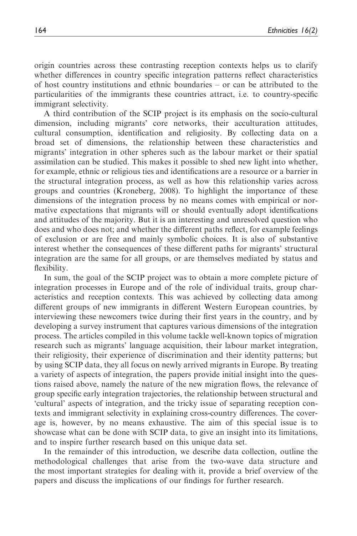origin countries across these contrasting reception contexts helps us to clarify whether differences in country specific integration patterns reflect characteristics of host country institutions and ethnic boundaries – or can be attributed to the particularities of the immigrants these countries attract, i.e. to country-specific immigrant selectivity.

A third contribution of the SCIP project is its emphasis on the socio-cultural dimension, including migrants' core networks, their acculturation attitudes, cultural consumption, identification and religiosity. By collecting data on a broad set of dimensions, the relationship between these characteristics and migrants' integration in other spheres such as the labour market or their spatial assimilation can be studied. This makes it possible to shed new light into whether, for example, ethnic or religious ties and identifications are a resource or a barrier in the structural integration process, as well as how this relationship varies across groups and countries (Kroneberg, 2008). To highlight the importance of these dimensions of the integration process by no means comes with empirical or normative expectations that migrants will or should eventually adopt identifications and attitudes of the majority. But it is an interesting and unresolved question who does and who does not; and whether the different paths reflect, for example feelings of exclusion or are free and mainly symbolic choices. It is also of substantive interest whether the consequences of these different paths for migrants' structural integration are the same for all groups, or are themselves mediated by status and flexibility.

In sum, the goal of the SCIP project was to obtain a more complete picture of integration processes in Europe and of the role of individual traits, group characteristics and reception contexts. This was achieved by collecting data among different groups of new immigrants in different Western European countries, by interviewing these newcomers twice during their first years in the country, and by developing a survey instrument that captures various dimensions of the integration process. The articles compiled in this volume tackle well-known topics of migration research such as migrants' language acquisition, their labour market integration, their religiosity, their experience of discrimination and their identity patterns; but by using SCIP data, they all focus on newly arrived migrants in Europe. By treating a variety of aspects of integration, the papers provide initial insight into the questions raised above, namely the nature of the new migration flows, the relevance of group specific early integration trajectories, the relationship between structural and 'cultural' aspects of integration, and the tricky issue of separating reception contexts and immigrant selectivity in explaining cross-country differences. The coverage is, however, by no means exhaustive. The aim of this special issue is to showcase what can be done with SCIP data, to give an insight into its limitations, and to inspire further research based on this unique data set.

In the remainder of this introduction, we describe data collection, outline the methodological challenges that arise from the two-wave data structure and the most important strategies for dealing with it, provide a brief overview of the papers and discuss the implications of our findings for further research.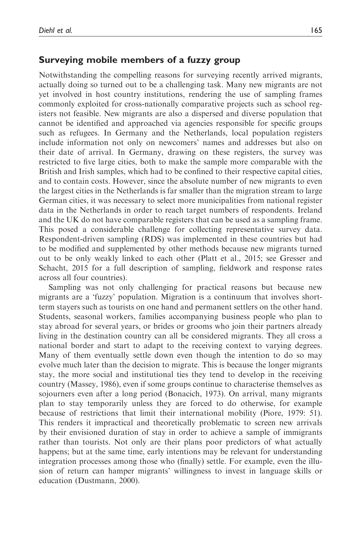## Surveying mobile members of a fuzzy group

Notwithstanding the compelling reasons for surveying recently arrived migrants, actually doing so turned out to be a challenging task. Many new migrants are not yet involved in host country institutions, rendering the use of sampling frames commonly exploited for cross-nationally comparative projects such as school registers not feasible. New migrants are also a dispersed and diverse population that cannot be identified and approached via agencies responsible for specific groups such as refugees. In Germany and the Netherlands, local population registers include information not only on newcomers' names and addresses but also on their date of arrival. In Germany, drawing on these registers, the survey was restricted to five large cities, both to make the sample more comparable with the British and Irish samples, which had to be confined to their respective capital cities, and to contain costs. However, since the absolute number of new migrants to even the largest cities in the Netherlands is far smaller than the migration stream to large German cities, it was necessary to select more municipalities from national register data in the Netherlands in order to reach target numbers of respondents. Ireland and the UK do not have comparable registers that can be used as a sampling frame. This posed a considerable challenge for collecting representative survey data. Respondent-driven sampling (RDS) was implemented in these countries but had to be modified and supplemented by other methods because new migrants turned out to be only weakly linked to each other (Platt et al., 2015; see Gresser and Schacht, 2015 for a full description of sampling, fieldwork and response rates across all four countries).

Sampling was not only challenging for practical reasons but because new migrants are a 'fuzzy' population. Migration is a continuum that involves shortterm stayers such as tourists on one hand and permanent settlers on the other hand. Students, seasonal workers, families accompanying business people who plan to stay abroad for several years, or brides or grooms who join their partners already living in the destination country can all be considered migrants. They all cross a national border and start to adapt to the receiving context to varying degrees. Many of them eventually settle down even though the intention to do so may evolve much later than the decision to migrate. This is because the longer migrants stay, the more social and institutional ties they tend to develop in the receiving country (Massey, 1986), even if some groups continue to characterise themselves as sojourners even after a long period (Bonacich, 1973). On arrival, many migrants plan to stay temporarily unless they are forced to do otherwise, for example because of restrictions that limit their international mobility (Piore, 1979: 51). This renders it impractical and theoretically problematic to screen new arrivals by their envisioned duration of stay in order to achieve a sample of immigrants rather than tourists. Not only are their plans poor predictors of what actually happens; but at the same time, early intentions may be relevant for understanding integration processes among those who (finally) settle. For example, even the illusion of return can hamper migrants' willingness to invest in language skills or education (Dustmann, 2000).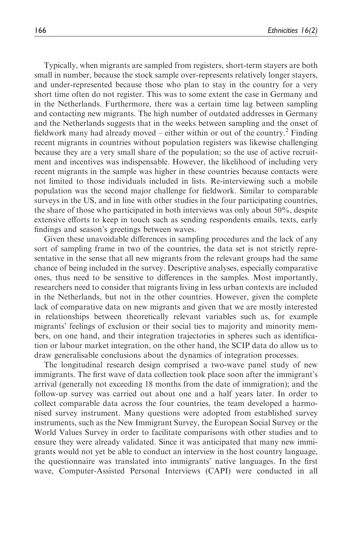Typically, when migrants are sampled from registers, short-term stayers are both small in number, because the stock sample over-represents relatively longer stayers, and under-represented because those who plan to stay in the country for a very short time often do not register. This was to some extent the case in Germany and in the Netherlands. Furthermore, there was a certain time lag between sampling and contacting new migrants. The high number of outdated addresses in Germany and the Netherlands suggests that in the weeks between sampling and the onset of fieldwork many had already moved – either within or out of the country.<sup>2</sup> Finding recent migrants in countries without population registers was likewise challenging because they are a very small share of the population; so the use of active recruitment and incentives was indispensable. However, the likelihood of including very recent migrants in the sample was higher in these countries because contacts were not limited to those individuals included in lists. Re-interviewing such a mobile population was the second major challenge for fieldwork. Similar to comparable surveys in the US, and in line with other studies in the four participating countries, the share of those who participated in both interviews was only about 50%, despite extensive efforts to keep in touch such as sending respondents emails, texts, early findings and season's greetings between waves.

Given these unavoidable differences in sampling procedures and the lack of any sort of sampling frame in two of the countries, the data set is not strictly representative in the sense that all new migrants from the relevant groups had the same chance of being included in the survey. Descriptive analyses, especially comparative ones, thus need to be sensitive to differences in the samples. Most importantly, researchers need to consider that migrants living in less urban contexts are included in the Netherlands, but not in the other countries. However, given the complete lack of comparative data on new migrants and given that we are mostly interested in relationships between theoretically relevant variables such as, for example migrants' feelings of exclusion or their social ties to majority and minority members, on one hand, and their integration trajectories in spheres such as identification or labour market integration, on the other hand, the SCIP data do allow us to draw generalisable conclusions about the dynamics of integration processes.

The longitudinal research design comprised a two-wave panel study of new immigrants. The first wave of data collection took place soon after the immigrant's arrival (generally not exceeding 18 months from the date of immigration); and the follow-up survey was carried out about one and a half years later. In order to collect comparable data across the four countries, the team developed a harmonised survey instrument. Many questions were adopted from established survey instruments, such as the New Immigrant Survey, the European Social Survey or the World Values Survey in order to facilitate comparisons with other studies and to ensure they were already validated. Since it was anticipated that many new immigrants would not yet be able to conduct an interview in the host country language, the questionnaire was translated into immigrants' native languages. In the first wave, Computer-Assisted Personal Interviews (CAPI) were conducted in all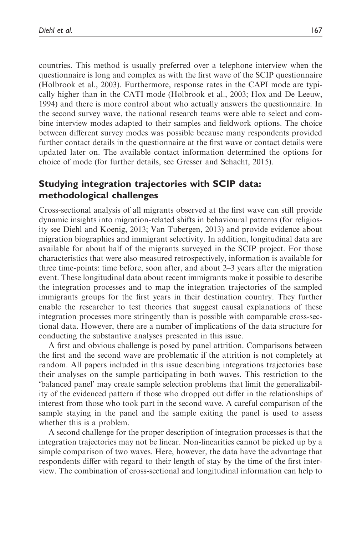countries. This method is usually preferred over a telephone interview when the questionnaire is long and complex as with the first wave of the SCIP questionnaire (Holbrook et al., 2003). Furthermore, response rates in the CAPI mode are typically higher than in the CATI mode (Holbrook et al., 2003; Hox and De Leeuw, 1994) and there is more control about who actually answers the questionnaire. In the second survey wave, the national research teams were able to select and combine interview modes adapted to their samples and fieldwork options. The choice between different survey modes was possible because many respondents provided further contact details in the questionnaire at the first wave or contact details were updated later on. The available contact information determined the options for choice of mode (for further details, see Gresser and Schacht, 2015).

## Studying integration trajectories with SCIP data: methodological challenges

Cross-sectional analysis of all migrants observed at the first wave can still provide dynamic insights into migration-related shifts in behavioural patterns (for religiosity see Diehl and Koenig, 2013; Van Tubergen, 2013) and provide evidence about migration biographies and immigrant selectivity. In addition, longitudinal data are available for about half of the migrants surveyed in the SCIP project. For those characteristics that were also measured retrospectively, information is available for three time-points: time before, soon after, and about 2–3 years after the migration event. These longitudinal data about recent immigrants make it possible to describe the integration processes and to map the integration trajectories of the sampled immigrants groups for the first years in their destination country. They further enable the researcher to test theories that suggest causal explanations of these integration processes more stringently than is possible with comparable cross-sectional data. However, there are a number of implications of the data structure for conducting the substantive analyses presented in this issue.

A first and obvious challenge is posed by panel attrition. Comparisons between the first and the second wave are problematic if the attrition is not completely at random. All papers included in this issue describing integrations trajectories base their analyses on the sample participating in both waves. This restriction to the 'balanced panel' may create sample selection problems that limit the generalizability of the evidenced pattern if those who dropped out differ in the relationships of interest from those who took part in the second wave. A careful comparison of the sample staying in the panel and the sample exiting the panel is used to assess whether this is a problem.

A second challenge for the proper description of integration processes is that the integration trajectories may not be linear. Non-linearities cannot be picked up by a simple comparison of two waves. Here, however, the data have the advantage that respondents differ with regard to their length of stay by the time of the first interview. The combination of cross-sectional and longitudinal information can help to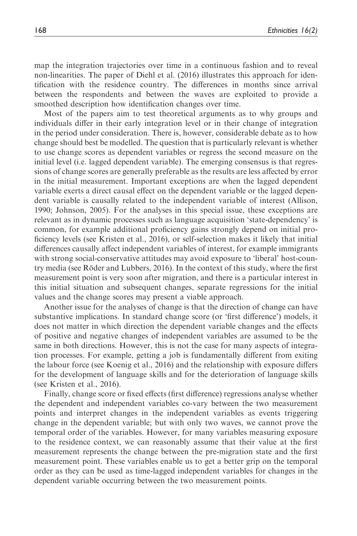map the integration trajectories over time in a continuous fashion and to reveal non-linearities. The paper of Diehl et al. (2016) illustrates this approach for identification with the residence country. The differences in months since arrival between the respondents and between the waves are exploited to provide a smoothed description how identification changes over time.

Most of the papers aim to test theoretical arguments as to why groups and individuals differ in their early integration level or in their change of integration in the period under consideration. There is, however, considerable debate as to how change should best be modelled. The question that is particularly relevant is whether to use change scores as dependent variables or regress the second measure on the initial level (i.e. lagged dependent variable). The emerging consensus is that regressions of change scores are generally preferable as the results are less affected by error in the initial measurement. Important exceptions are when the lagged dependent variable exerts a direct causal effect on the dependent variable or the lagged dependent variable is causally related to the independent variable of interest (Allison, 1990; Johnson, 2005). For the analyses in this special issue, these exceptions are relevant as in dynamic processes such as language acquisition 'state-dependency' is common, for example additional proficiency gains strongly depend on initial proficiency levels (see Kristen et al., 2016), or self-selection makes it likely that initial differences causally affect independent variables of interest, for example immigrants with strong social-conservative attitudes may avoid exposure to 'liberal' host-country media (see Röder and Lubbers,  $2016$ ). In the context of this study, where the first measurement point is very soon after migration, and there is a particular interest in this initial situation and subsequent changes, separate regressions for the initial values and the change scores may present a viable approach.

Another issue for the analyses of change is that the direction of change can have substantive implications. In standard change score (or 'first difference') models, it does not matter in which direction the dependent variable changes and the effects of positive and negative changes of independent variables are assumed to be the same in both directions. However, this is not the case for many aspects of integration processes. For example, getting a job is fundamentally different from exiting the labour force (see Koenig et al., 2016) and the relationship with exposure differs for the development of language skills and for the deterioration of language skills (see Kristen et al., 2016).

Finally, change score or fixed effects (first difference) regressions analyse whether the dependent and independent variables co-vary between the two measurement points and interpret changes in the independent variables as events triggering change in the dependent variable; but with only two waves, we cannot prove the temporal order of the variables. However, for many variables measuring exposure to the residence context, we can reasonably assume that their value at the first measurement represents the change between the pre-migration state and the first measurement point. These variables enable us to get a better grip on the temporal order as they can be used as time-lagged independent variables for changes in the dependent variable occurring between the two measurement points.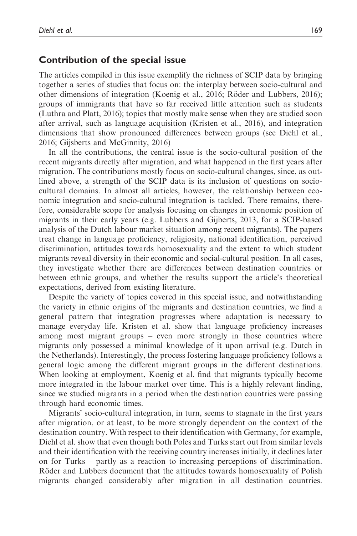### Contribution of the special issue

The articles compiled in this issue exemplify the richness of SCIP data by bringing together a series of studies that focus on: the interplay between socio-cultural and other dimensions of integration (Koenig et al., 2016; Röder and Lubbers, 2016); groups of immigrants that have so far received little attention such as students (Luthra and Platt, 2016); topics that mostly make sense when they are studied soon after arrival, such as language acquisition (Kristen et al., 2016), and integration dimensions that show pronounced differences between groups (see Diehl et al., 2016; Gijsberts and McGinnity, 2016)

In all the contributions, the central issue is the socio-cultural position of the recent migrants directly after migration, and what happened in the first years after migration. The contributions mostly focus on socio-cultural changes, since, as outlined above, a strength of the SCIP data is its inclusion of questions on sociocultural domains. In almost all articles, however, the relationship between economic integration and socio-cultural integration is tackled. There remains, therefore, considerable scope for analysis focusing on changes in economic position of migrants in their early years (e.g. Lubbers and Gijberts, 2013, for a SCIP-based analysis of the Dutch labour market situation among recent migrants). The papers treat change in language proficiency, religiosity, national identification, perceived discrimination, attitudes towards homosexuality and the extent to which student migrants reveal diversity in their economic and social-cultural position. In all cases, they investigate whether there are differences between destination countries or between ethnic groups, and whether the results support the article's theoretical expectations, derived from existing literature.

Despite the variety of topics covered in this special issue, and notwithstanding the variety in ethnic origins of the migrants and destination countries, we find a general pattern that integration progresses where adaptation is necessary to manage everyday life. Kristen et al. show that language proficiency increases among most migrant groups – even more strongly in those countries where migrants only possessed a minimal knowledge of it upon arrival (e.g. Dutch in the Netherlands). Interestingly, the process fostering language proficiency follows a general logic among the different migrant groups in the different destinations. When looking at employment, Koenig et al. find that migrants typically become more integrated in the labour market over time. This is a highly relevant finding, since we studied migrants in a period when the destination countries were passing through hard economic times.

Migrants' socio-cultural integration, in turn, seems to stagnate in the first years after migration, or at least, to be more strongly dependent on the context of the destination country. With respect to their identification with Germany, for example, Diehl et al. show that even though both Poles and Turks start out from similar levels and their identification with the receiving country increases initially, it declines later on for Turks – partly as a reaction to increasing perceptions of discrimination. Röder and Lubbers document that the attitudes towards homosexuality of Polish migrants changed considerably after migration in all destination countries.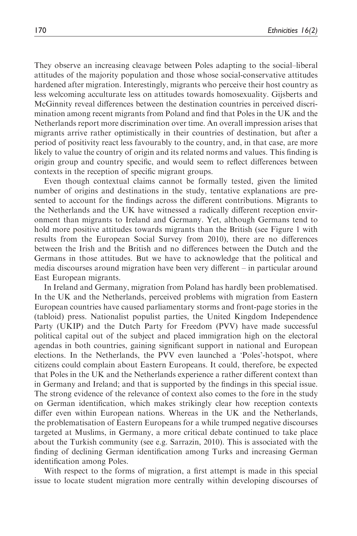They observe an increasing cleavage between Poles adapting to the social–liberal attitudes of the majority population and those whose social-conservative attitudes hardened after migration. Interestingly, migrants who perceive their host country as less welcoming acculturate less on attitudes towards homosexuality. Gijsberts and McGinnity reveal differences between the destination countries in perceived discrimination among recent migrants from Poland and find that Poles in the UK and the Netherlands report more discrimination over time. An overall impression arises that migrants arrive rather optimistically in their countries of destination, but after a period of positivity react less favourably to the country, and, in that case, are more likely to value the country of origin and its related norms and values. This finding is origin group and country specific, and would seem to reflect differences between contexts in the reception of specific migrant groups.

Even though contextual claims cannot be formally tested, given the limited number of origins and destinations in the study, tentative explanations are presented to account for the findings across the different contributions. Migrants to the Netherlands and the UK have witnessed a radically different reception environment than migrants to Ireland and Germany. Yet, although Germans tend to hold more positive attitudes towards migrants than the British (see Figure 1 with results from the European Social Survey from 2010), there are no differences between the Irish and the British and no differences between the Dutch and the Germans in those attitudes. But we have to acknowledge that the political and media discourses around migration have been very different – in particular around East European migrants.

In Ireland and Germany, migration from Poland has hardly been problematised. In the UK and the Netherlands, perceived problems with migration from Eastern European countries have caused parliamentary storms and front-page stories in the (tabloid) press. Nationalist populist parties, the United Kingdom Independence Party (UKIP) and the Dutch Party for Freedom (PVV) have made successful political capital out of the subject and placed immigration high on the electoral agendas in both countries, gaining significant support in national and European elections. In the Netherlands, the PVV even launched a 'Poles'-hotspot, where citizens could complain about Eastern Europeans. It could, therefore, be expected that Poles in the UK and the Netherlands experience a rather different context than in Germany and Ireland; and that is supported by the findings in this special issue. The strong evidence of the relevance of context also comes to the fore in the study on German identification, which makes strikingly clear how reception contexts differ even within European nations. Whereas in the UK and the Netherlands, the problematisation of Eastern Europeans for a while trumped negative discourses targeted at Muslims, in Germany, a more critical debate continued to take place about the Turkish community (see e.g. Sarrazin, 2010). This is associated with the finding of declining German identification among Turks and increasing German identification among Poles.

With respect to the forms of migration, a first attempt is made in this special issue to locate student migration more centrally within developing discourses of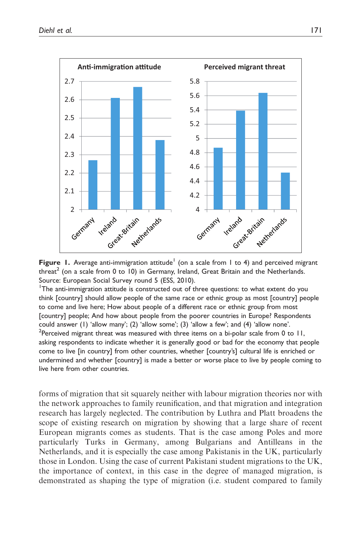

**Figure 1.** Average anti-immigration attitude<sup>1</sup> (on a scale from 1 to 4) and perceived migrant threat<sup>2</sup> (on a scale from 0 to 10) in Germany, Ireland, Great Britain and the Netherlands. Source: European Social Survey round 5 (ESS, 2010).

<sup>1</sup>The anti-immigration attitude is constructed out of three questions: to what extent do you think [country] should allow people of the same race or ethnic group as most [country] people to come and live here; How about people of a different race or ethnic group from most [country] people; And how about people from the poorer countries in Europe? Respondents could answer (1) 'allow many'; (2) 'allow some'; (3) 'allow a few'; and (4) 'allow none'. <sup>2</sup> Perceived migrant threat was measured with three items on a bi-polar scale from 0 to 11, asking respondents to indicate whether it is generally good or bad for the economy that people come to live [in country] from other countries, whether [country's] cultural life is enriched or undermined and whether [country] is made a better or worse place to live by people coming to live here from other countries.

forms of migration that sit squarely neither with labour migration theories nor with the network approaches to family reunification, and that migration and integration research has largely neglected. The contribution by Luthra and Platt broadens the scope of existing research on migration by showing that a large share of recent European migrants comes as students. That is the case among Poles and more particularly Turks in Germany, among Bulgarians and Antilleans in the Netherlands, and it is especially the case among Pakistanis in the UK, particularly those in London. Using the case of current Pakistani student migrations to the UK, the importance of context, in this case in the degree of managed migration, is demonstrated as shaping the type of migration (i.e. student compared to family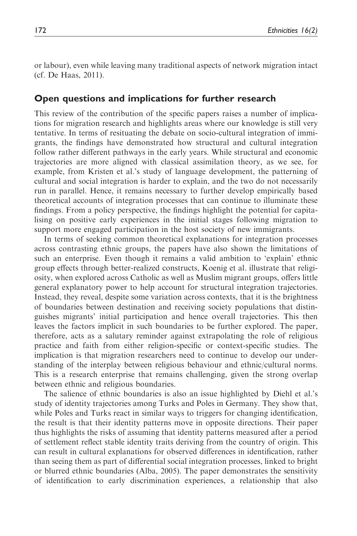or labour), even while leaving many traditional aspects of network migration intact (cf. De Haas, 2011).

## Open questions and implications for further research

This review of the contribution of the specific papers raises a number of implications for migration research and highlights areas where our knowledge is still very tentative. In terms of resituating the debate on socio-cultural integration of immigrants, the findings have demonstrated how structural and cultural integration follow rather different pathways in the early years. While structural and economic trajectories are more aligned with classical assimilation theory, as we see, for example, from Kristen et al.'s study of language development, the patterning of cultural and social integration is harder to explain, and the two do not necessarily run in parallel. Hence, it remains necessary to further develop empirically based theoretical accounts of integration processes that can continue to illuminate these findings. From a policy perspective, the findings highlight the potential for capitalising on positive early experiences in the initial stages following migration to support more engaged participation in the host society of new immigrants.

In terms of seeking common theoretical explanations for integration processes across contrasting ethnic groups, the papers have also shown the limitations of such an enterprise. Even though it remains a valid ambition to 'explain' ethnic group effects through better-realized constructs, Koenig et al. illustrate that religiosity, when explored across Catholic as well as Muslim migrant groups, offers little general explanatory power to help account for structural integration trajectories. Instead, they reveal, despite some variation across contexts, that it is the brightness of boundaries between destination and receiving society populations that distinguishes migrants' initial participation and hence overall trajectories. This then leaves the factors implicit in such boundaries to be further explored. The paper, therefore, acts as a salutary reminder against extrapolating the role of religious practice and faith from either religion-specific or context-specific studies. The implication is that migration researchers need to continue to develop our understanding of the interplay between religious behaviour and ethnic/cultural norms. This is a research enterprise that remains challenging, given the strong overlap between ethnic and religious boundaries.

The salience of ethnic boundaries is also an issue highlighted by Diehl et al.'s study of identity trajectories among Turks and Poles in Germany. They show that, while Poles and Turks react in similar ways to triggers for changing identification, the result is that their identity patterns move in opposite directions. Their paper thus highlights the risks of assuming that identity patterns measured after a period of settlement reflect stable identity traits deriving from the country of origin. This can result in cultural explanations for observed differences in identification, rather than seeing them as part of differential social integration processes, linked to bright or blurred ethnic boundaries (Alba, 2005). The paper demonstrates the sensitivity of identification to early discrimination experiences, a relationship that also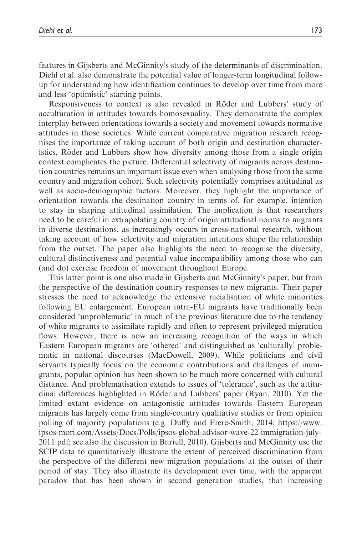features in Gijsberts and McGinnity's study of the determinants of discrimination. Diehl et al. also demonstrate the potential value of longer-term longitudinal followup for understanding how identification continues to develop over time from more and less 'optimistic' starting points.

Responsiveness to context is also revealed in Röder and Lubbers' study of acculturation in attitudes towards homosexuality. They demonstrate the complex interplay between orientations towards a society and movement towards normative attitudes in those societies. While current comparative migration research recognises the importance of taking account of both origin and destination characteristics, Röder and Lubbers show how diversity among those from a single origin context complicates the picture. Differential selectivity of migrants across destination countries remains an important issue even when analysing those from the same country and migration cohort. Such selectivity potentially comprises attitudinal as well as socio-demographic factors. Moreover, they highlight the importance of orientation towards the destination country in terms of, for example, intention to stay in shaping attitudinal assimilation. The implication is that researchers need to be careful in extrapolating country of origin attitudinal norms to migrants in diverse destinations, as increasingly occurs in cross-national research, without taking account of how selectivity and migration intentions shape the relationship from the outset. The paper also highlights the need to recognise the diversity, cultural distinctiveness and potential value incompatibility among those who can (and do) exercise freedom of movement throughout Europe.

This latter point is one also made in Gijsberts and McGinnity's paper, but from the perspective of the destination country responses to new migrants. Their paper stresses the need to acknowledge the extensive racialisation of white minorities following EU enlargement. European intra-EU migrants have traditionally been considered 'unproblematic' in much of the previous literature due to the tendency of white migrants to assimilate rapidly and often to represent privileged migration flows. However, there is now an increasing recognition of the ways in which Eastern European migrants are 'othered' and distinguished as 'culturally' problematic in national discourses (MacDowell, 2009). While politicians and civil servants typically focus on the economic contributions and challenges of immigrants, popular opinion has been shown to be much more concerned with cultural distance. And problematisation extends to issues of 'tolerance', such as the attitudinal differences highlighted in Röder and Lubbers' paper (Ryan, 2010). Yet the limited extant evidence on antagonistic attitudes towards Eastern European migrants has largely come from single-country qualitative studies or from opinion polling of majority populations (e.g. Duffy and Frere-Smith, 2014; https://www. ipsos-mori.com/Assets/Docs/Polls/ipsos-global-advisor-wave-22-immigration-july-2011.pdf; see also the discussion in Burrell, 2010). Gijsberts and McGinnity use the SCIP data to quantitatively illustrate the extent of perceived discrimination from the perspective of the different new migration populations at the outset of their period of stay. They also illustrate its development over time, with the apparent paradox that has been shown in second generation studies, that increasing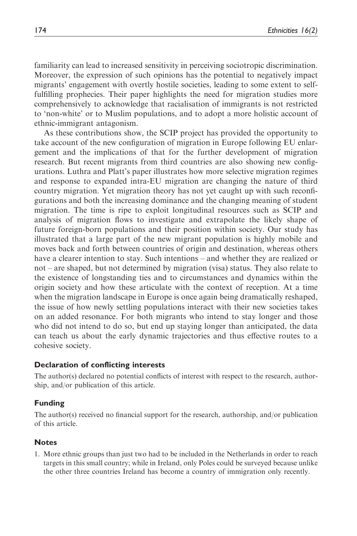familiarity can lead to increased sensitivity in perceiving sociotropic discrimination. Moreover, the expression of such opinions has the potential to negatively impact migrants' engagement with overtly hostile societies, leading to some extent to selffulfilling prophecies. Their paper highlights the need for migration studies more comprehensively to acknowledge that racialisation of immigrants is not restricted to 'non-white' or to Muslim populations, and to adopt a more holistic account of ethnic-immigrant antagonism.

As these contributions show, the SCIP project has provided the opportunity to take account of the new configuration of migration in Europe following EU enlargement and the implications of that for the further development of migration research. But recent migrants from third countries are also showing new configurations. Luthra and Platt's paper illustrates how more selective migration regimes and response to expanded intra-EU migration are changing the nature of third country migration. Yet migration theory has not yet caught up with such reconfigurations and both the increasing dominance and the changing meaning of student migration. The time is ripe to exploit longitudinal resources such as SCIP and analysis of migration flows to investigate and extrapolate the likely shape of future foreign-born populations and their position within society. Our study has illustrated that a large part of the new migrant population is highly mobile and moves back and forth between countries of origin and destination, whereas others have a clearer intention to stay. Such intentions – and whether they are realized or not – are shaped, but not determined by migration (visa) status. They also relate to the existence of longstanding ties and to circumstances and dynamics within the origin society and how these articulate with the context of reception. At a time when the migration landscape in Europe is once again being dramatically reshaped, the issue of how newly settling populations interact with their new societies takes on an added resonance. For both migrants who intend to stay longer and those who did not intend to do so, but end up staying longer than anticipated, the data can teach us about the early dynamic trajectories and thus effective routes to a cohesive society.

### Declaration of conflicting interests

The author(s) declared no potential conflicts of interest with respect to the research, authorship, and/or publication of this article.

#### Funding

The author(s) received no financial support for the research, authorship, and/or publication of this article.

#### **Notes**

1. More ethnic groups than just two had to be included in the Netherlands in order to reach targets in this small country; while in Ireland, only Poles could be surveyed because unlike the other three countries Ireland has become a country of immigration only recently.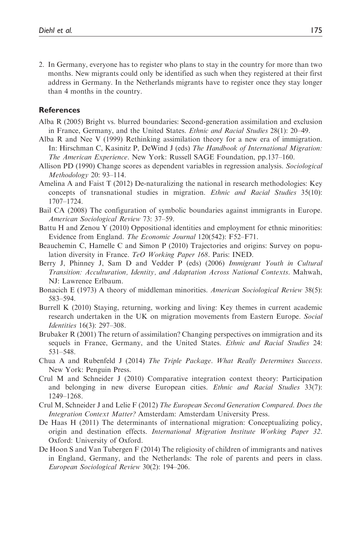2. In Germany, everyone has to register who plans to stay in the country for more than two months. New migrants could only be identified as such when they registered at their first address in Germany. In the Netherlands migrants have to register once they stay longer than 4 months in the country.

#### **References**

- Alba R (2005) Bright vs. blurred boundaries: Second-generation assimilation and exclusion in France, Germany, and the United States. Ethnic and Racial Studies 28(1): 20–49.
- Alba R and Nee V (1999) Rethinking assimilation theory for a new era of immigration. In: Hirschman C, Kasinitz P, DeWind J (eds) The Handbook of International Migration: The American Experience. New York: Russell SAGE Foundation, pp.137–160.
- Allison PD (1990) Change scores as dependent variables in regression analysis. Sociological Methodology 20: 93–114.
- Amelina A and Faist T (2012) De-naturalizing the national in research methodologies: Key concepts of transnational studies in migration. Ethnic and Racial Studies 35(10): 1707–1724.
- Bail CA (2008) The configuration of symbolic boundaries against immigrants in Europe. American Sociological Review 73: 37–59.
- Battu H and Zenou Y (2010) Oppositional identities and employment for ethnic minorities: Evidence from England. The Economic Journal 120(542): F52–F71.
- Beauchemin C, Hamelle C and Simon P (2010) Trajectories and origins: Survey on population diversity in France. TeO Working Paper 168. Paris: INED.
- Berry J, Phinney J, Sam D and Vedder P (eds) (2006) Immigrant Youth in Cultural Transition: Acculturation, Identity, and Adaptation Across National Contexts. Mahwah, NJ: Lawrence Erlbaum.
- Bonacich E (1973) A theory of middleman minorities. American Sociological Review 38(5): 583–594.
- Burrell K (2010) Staying, returning, working and living: Key themes in current academic research undertaken in the UK on migration movements from Eastern Europe. Social Identities 16(3): 297–308.
- Brubaker R (2001) The return of assimilation? Changing perspectives on immigration and its sequels in France, Germany, and the United States. Ethnic and Racial Studies 24: 531–548.
- Chua A and Rubenfeld J (2014) The Triple Package. What Really Determines Success. New York: Penguin Press.
- Crul M and Schneider J (2010) Comparative integration context theory: Participation and belonging in new diverse European cities. Ethnic and Racial Studies 33(7): 1249–1268.
- Crul M, Schneider J and Lelie F (2012) The European Second Generation Compared. Does the Integration Context Matter? Amsterdam: Amsterdam University Press.
- De Haas H (2011) The determinants of international migration: Conceptualizing policy, origin and destination effects. International Migration Institute Working Paper 32. Oxford: University of Oxford.
- De Hoon S and Van Tubergen F (2014) The religiosity of children of immigrants and natives in England, Germany, and the Netherlands: The role of parents and peers in class. European Sociological Review 30(2): 194–206.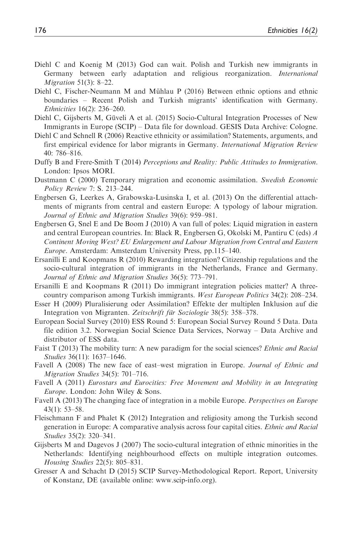- Diehl C and Koenig M (2013) God can wait. Polish and Turkish new immigrants in Germany between early adaptation and religious reorganization. International Migration 51(3): 8–22.
- Diehl C, Fischer-Neumann M and Mühlau P (2016) Between ethnic options and ethnic boundaries – Recent Polish and Turkish migrants' identification with Germany. Ethnicities 16(2): 236–260.
- Diehl C, Gijsberts M, Güveli A et al. (2015) Socio-Cultural Integration Processes of New Immigrants in Europe (SCIP) – Data file for download. GESIS Data Archive: Cologne.
- Diehl C and Schnell R (2006) Reactive ethnicity or assimilation? Statements, arguments, and first empirical evidence for labor migrants in Germany. International Migration Review 40: 786–816.
- Duffy B and Frere-Smith T (2014) Perceptions and Reality: Public Attitudes to Immigration. London: Ipsos MORI.
- Dustmann C (2000) Temporary migration and economic assimilation. Swedish Economic Policy Review 7: S. 213–244.
- Engbersen G, Leerkes A, Grabowska-Lusinska I, et al. (2013) On the differential attachments of migrants from central and eastern Europe: A typology of labour migration. Journal of Ethnic and Migration Studies 39(6): 959–981.
- Engbersen G, Snel E and De Boom J (2010) A van full of poles: Liquid migration in eastern and central European countries. In: Black R, Engbersen G, Okolski M, Pantiru C (eds) A Continent Moving West? EU Enlargement and Labour Migration from Central and Eastern Europe. Amsterdam: Amsterdam University Press, pp.115–140.
- Ersanilli E and Koopmans R (2010) Rewarding integration? Citizenship regulations and the socio-cultural integration of immigrants in the Netherlands, France and Germany. Journal of Ethnic and Migration Studies 36(5): 773–791.
- Ersanilli E and Koopmans R (2011) Do immigrant integration policies matter? A threecountry comparison among Turkish immigrants. West European Politics 34(2): 208-234.
- Esser H (2009) Pluralisierung oder Assimilation? Effekte der multiplen Inklusion auf die Integration von Migranten. Zeitschrift für Soziologie 38(5): 358–378.
- European Social Survey (2010) ESS Round 5: European Social Survey Round 5 Data. Data file edition 3.2. Norwegian Social Science Data Services, Norway – Data Archive and distributor of ESS data.
- Faist T (2013) The mobility turn: A new paradigm for the social sciences? *Ethnic and Racial* Studies 36(11): 1637–1646.
- Favell A (2008) The new face of east–west migration in Europe. Journal of Ethnic and Migration Studies 34(5): 701–716.
- Favell A (2011) Eurostars and Eurocities: Free Movement and Mobility in an Integrating Europe. London: John Wiley & Sons.
- Favell A (2013) The changing face of integration in a mobile Europe. Perspectives on Europe 43(1): 53–58.
- Fleischmann F and Phalet K (2012) Integration and religiosity among the Turkish second generation in Europe: A comparative analysis across four capital cities. Ethnic and Racial Studies 35(2): 320–341.
- Gijsberts M and Dagevos J (2007) The socio-cultural integration of ethnic minorities in the Netherlands: Identifying neighbourhood effects on multiple integration outcomes. Housing Studies 22(5): 805–831.
- Gresser A and Schacht D (2015) SCIP Survey-Methodological Report. Report, University of Konstanz, DE (available online: www.scip-info.org).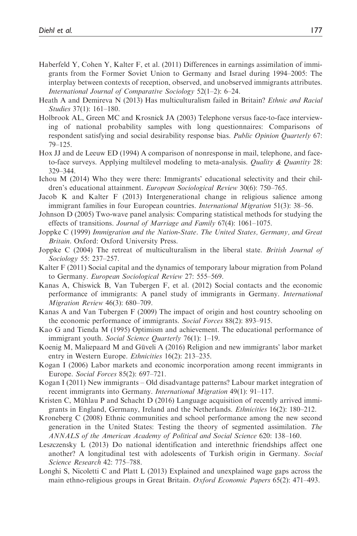- Haberfeld Y, Cohen Y, Kalter F, et al. (2011) Differences in earnings assimilation of immigrants from the Former Soviet Union to Germany and Israel during 1994–2005: The interplay between contexts of reception, observed, and unobserved immigrants attributes. International Journal of Comparative Sociology 52(1–2): 6–24.
- Heath A and Demireva N (2013) Has multiculturalism failed in Britain? *Ethnic and Racial* Studies 37(1): 161–180.
- Holbrook AL, Green MC and Krosnick JA (2003) Telephone versus face-to-face interviewing of national probability samples with long questionnaires: Comparisons of respondent satisfying and social desirability response bias. Public Opinion Quarterly 67: 79–125.
- Hox JJ and de Leeuw ED (1994) A comparison of nonresponse in mail, telephone, and faceto-face surveys. Applying multilevel modeling to meta-analysis. *Quality & Quantity* 28: 329–344.
- Ichou M (2014) Who they were there: Immigrants' educational selectivity and their children's educational attainment. European Sociological Review 30(6): 750–765.
- Jacob K and Kalter F (2013) Intergenerational change in religious salience among immigrant families in four European countries. International Migration 51(3): 38–56.
- Johnson D (2005) Two-wave panel analysis: Comparing statistical methods for studying the effects of transitions. Journal of Marriage and Family 67(4): 1061–1075.
- Joppke C (1999) Immigration and the Nation-State. The United States, Germany, and Great Britain. Oxford: Oxford University Press.
- Joppke C (2004) The retreat of multiculturalism in the liberal state. British Journal of Sociology 55: 237–257.
- Kalter F (2011) Social capital and the dynamics of temporary labour migration from Poland to Germany. European Sociological Review 27: 555–569.
- Kanas A, Chiswick B, Van Tubergen F, et al. (2012) Social contacts and the economic performance of immigrants: A panel study of immigrants in Germany. International Migration Review 46(3): 680–709.
- Kanas A and Van Tubergen F (2009) The impact of origin and host country schooling on the economic performance of immigrants. Social Forces 88(2): 893–915.
- Kao G and Tienda M (1995) Optimism and achievement. The educational performance of immigrant youth. Social Science Quarterly 76(1): 1–19.
- Koenig M, Maliepaard M and Güveli A (2016) Religion and new immigrants' labor market entry in Western Europe. *Ethnicities* 16(2): 213–235.
- Kogan I (2006) Labor markets and economic incorporation among recent immigrants in Europe. Social Forces 85(2): 697–721.
- Kogan I (2011) New immigrants Old disadvantage patterns? Labour market integration of recent immigrants into Germany. International Migration 49(1): 91–117.
- Kristen C, Mühlau P and Schacht D  $(2016)$  Language acquisition of recently arrived immigrants in England, Germany, Ireland and the Netherlands. *Ethnicities* 16(2): 180–212.
- Kroneberg C (2008) Ethnic communities and school performance among the new second generation in the United States: Testing the theory of segmented assimilation. The ANNALS of the American Academy of Political and Social Science 620: 138–160.
- Leszczensky L (2013) Do national identification and interethnic friendships affect one another? A longitudinal test with adolescents of Turkish origin in Germany. Social Science Research 42: 775–788.
- Longhi S, Nicoletti C and Platt L (2013) Explained and unexplained wage gaps across the main ethno-religious groups in Great Britain. Oxford Economic Papers 65(2): 471–493.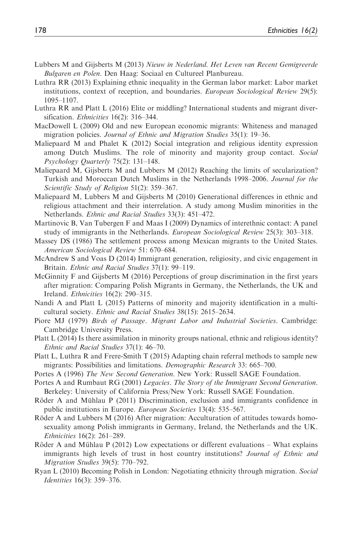- Lubbers M and Gijsberts M (2013) Nieuw in Nederland. Het Leven van Recent Gemigreerde Bulgaren en Polen. Den Haag: Sociaal en Cultureel Planbureau.
- Luthra RR (2013) Explaining ethnic inequality in the German labor market: Labor market institutions, context of reception, and boundaries. European Sociological Review 29(5): 1095–1107.
- Luthra RR and Platt L (2016) Elite or middling? International students and migrant diversification. Ethnicities 16(2): 316-344.
- MacDowell L (2009) Old and new European economic migrants: Whiteness and managed migration policies. Journal of Ethnic and Migration Studies 35(1): 19–36.
- Maliepaard M and Phalet K (2012) Social integration and religious identity expression among Dutch Muslims. The role of minority and majority group contact. Social Psychology Quarterly 75(2): 131–148.
- Maliepaard M, Gijsberts M and Lubbers M (2012) Reaching the limits of secularization? Turkish and Moroccan Dutch Muslims in the Netherlands 1998–2006. Journal for the Scientific Study of Religion 51(2): 359–367.
- Maliepaard M, Lubbers M and Gijsberts M (2010) Generational differences in ethnic and religious attachment and their interrelation. A study among Muslim minorities in the Netherlands. Ethnic and Racial Studies 33(3): 451–472.
- Martinovic B, Van Tubergen F and Maas I (2009) Dynamics of interethnic contact: A panel study of immigrants in the Netherlands. *European Sociological Review* 25(3): 303–318.
- Massey DS (1986) The settlement process among Mexican migrants to the United States. American Sociological Review 51: 670–684.
- McAndrew S and Voas D (2014) Immigrant generation, religiosity, and civic engagement in Britain. Ethnic and Racial Studies 37(1): 99–119.
- McGinnity F and Gijsberts M (2016) Perceptions of group discrimination in the first years after migration: Comparing Polish Migrants in Germany, the Netherlands, the UK and Ireland. Ethnicities 16(2): 290–315.
- Nandi A and Platt L (2015) Patterns of minority and majority identification in a multicultural society. Ethnic and Racial Studies 38(15): 2615–2634.
- Piore MJ (1979) Birds of Passage. Migrant Labor and Industrial Societies. Cambridge: Cambridge University Press.
- Platt L (2014) Is there assimilation in minority groups national, ethnic and religious identity? Ethnic and Racial Studies 37(1): 46–70.
- Platt L, Luthra R and Frere-Smith T (2015) Adapting chain referral methods to sample new migrants: Possibilities and limitations. *Demographic Research* 33: 665–700.
- Portes A (1996) The New Second Generation. New York: Russell SAGE Foundation.
- Portes A and Rumbaut RG (2001) Legacies. The Story of the Immigrant Second Generation. Berkeley: University of California Press/New York: Russell SAGE Foundation.
- Röder A and Mühlau P (2011) Discrimination, exclusion and immigrants confidence in public institutions in Europe. European Societies 13(4): 535-567.
- Röder A and Lubbers M (2016) After migration: Acculturation of attitudes towards homosexuality among Polish immigrants in Germany, Ireland, the Netherlands and the UK. Ethnicities 16(2): 261–289.
- Röder A and Mühlau P (2012) Low expectations or different evaluations What explains immigrants high levels of trust in host country institutions? Journal of Ethnic and Migration Studies 39(5): 770–792.
- Ryan L (2010) Becoming Polish in London: Negotiating ethnicity through migration. Social Identities 16(3): 359–376.